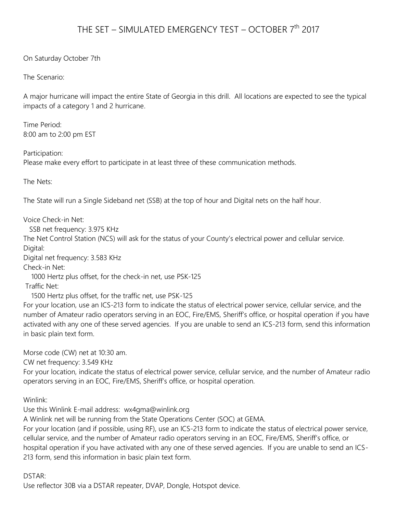## THE SET – SIMULATED EMERGENCY TEST – OCTOBER 7<sup>th</sup> 2017

On Saturday October 7th

The Scenario:

A major hurricane will impact the entire State of Georgia in this drill. All locations are expected to see the typical impacts of a category 1 and 2 hurricane.

Time Period: 8:00 am to 2:00 pm EST

Participation: Please make every effort to participate in at least three of these communication methods.

The Nets:

The State will run a Single Sideband net (SSB) at the top of hour and Digital nets on the half hour.

Voice Check-in Net:

SSB net frequency: 3.975 KHz

The Net Control Station (NCS) will ask for the status of your County's electrical power and cellular service. Digital:

Digital net frequency: 3.583 KHz

Check-in Net:

 1000 Hertz plus offset, for the check-in net, use PSK-125 Traffic Net:

1500 Hertz plus offset, for the traffic net, use PSK-125

For your location, use an ICS-213 form to indicate the status of electrical power service, cellular service, and the number of Amateur radio operators serving in an EOC, Fire/EMS, Sheriff's office, or hospital operation if you have activated with any one of these served agencies. If you are unable to send an ICS-213 form, send this information in basic plain text form.

Morse code (CW) net at 10:30 am.

CW net frequency: 3.549 KHz

For your location, indicate the status of electrical power service, cellular service, and the number of Amateur radio operators serving in an EOC, Fire/EMS, Sheriff's office, or hospital operation.

Winlink:

Use this Winlink E-mail address: wx4gma@winlink.org

A Winlink net will be running from the State Operations Center (SOC) at GEMA.

For your location (and if possible, using RF), use an ICS-213 form to indicate the status of electrical power service, cellular service, and the number of Amateur radio operators serving in an EOC, Fire/EMS, Sheriff's office, or hospital operation if you have activated with any one of these served agencies. If you are unable to send an ICS-213 form, send this information in basic plain text form.

DSTAR:

Use reflector 30B via a DSTAR repeater, DVAP, Dongle, Hotspot device.